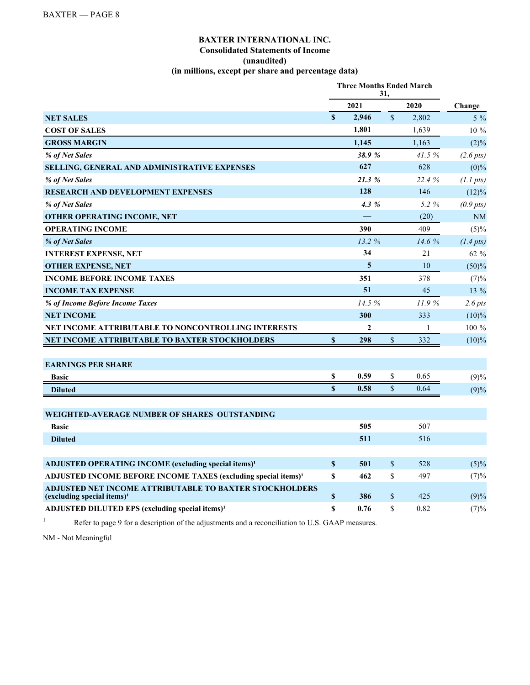## **BAXTER INTERNATIONAL INC. Consolidated Statements of Income (unaudited) (in millions, except per share and percentage data)**

|                                                                                                   | <b>Three Months Ended March</b><br>31, |                |                    |              |                |  |
|---------------------------------------------------------------------------------------------------|----------------------------------------|----------------|--------------------|--------------|----------------|--|
|                                                                                                   |                                        | 2021           |                    | 2020         | Change         |  |
| <b>NET SALES</b>                                                                                  | $\mathbf S$                            | 2,946          | $\mathbf{\hat{S}}$ | 2,802        | $5\%$          |  |
| <b>COST OF SALES</b>                                                                              |                                        | 1,801          |                    | 1,639        | 10 %           |  |
| <b>GROSS MARGIN</b>                                                                               |                                        | 1,145          |                    | 1,163        | $(2)\%$        |  |
| % of Net Sales                                                                                    |                                        | 38.9%          |                    | 41.5%        | $(2.6 \, pts)$ |  |
| SELLING, GENERAL AND ADMINISTRATIVE EXPENSES                                                      |                                        | 627            |                    | 628          | $(0)\%$        |  |
| % of Net Sales                                                                                    |                                        | 21.3 %         |                    | 22.4 %       | $(1.1 \, pts)$ |  |
| <b>RESEARCH AND DEVELOPMENT EXPENSES</b>                                                          |                                        | 128            |                    | 146          | (12)%          |  |
| % of Net Sales                                                                                    |                                        | 4.3 %          |                    | 5.2 %        | $(0.9 \, pts)$ |  |
| <b>OTHER OPERATING INCOME, NET</b>                                                                |                                        |                |                    | (20)         | <b>NM</b>      |  |
| <b>OPERATING INCOME</b>                                                                           |                                        | 390            |                    | 409          | (5)%           |  |
| % of Net Sales                                                                                    |                                        | 13.2%          |                    | 14.6%        | $(1.4 \, pts)$ |  |
| <b>INTEREST EXPENSE, NET</b>                                                                      |                                        | 34             |                    | 21           | 62 %           |  |
| <b>OTHER EXPENSE, NET</b>                                                                         |                                        | 5              |                    | 10           | (50)%          |  |
| <b>INCOME BEFORE INCOME TAXES</b>                                                                 |                                        | 351            |                    | 378          | (7)%           |  |
| <b>INCOME TAX EXPENSE</b>                                                                         |                                        | 51             |                    | 45           | 13 %           |  |
| % of Income Before Income Taxes                                                                   |                                        | 14.5%          |                    | 11.9%        | $2.6$ pts      |  |
| <b>NET INCOME</b>                                                                                 |                                        | 300            |                    | 333          | $(10)\%$       |  |
| NET INCOME ATTRIBUTABLE TO NONCONTROLLING INTERESTS                                               |                                        | $\overline{2}$ |                    | $\mathbf{1}$ | 100 %          |  |
| NET INCOME ATTRIBUTABLE TO BAXTER STOCKHOLDERS                                                    | $\boldsymbol{\mathsf{S}}$              | 298            | \$                 | 332          | $(10)\%$       |  |
|                                                                                                   |                                        |                |                    |              |                |  |
| <b>EARNINGS PER SHARE</b>                                                                         |                                        |                |                    |              |                |  |
| <b>Basic</b>                                                                                      | \$                                     | 0.59           | \$                 | 0.65         | (9)%           |  |
| <b>Diluted</b>                                                                                    | $\mathbf{s}$                           | 0.58           | $\mathbf S$        | 0.64         | (9)%           |  |
|                                                                                                   |                                        |                |                    |              |                |  |
| WEIGHTED-AVERAGE NUMBER OF SHARES OUTSTANDING                                                     |                                        |                |                    |              |                |  |
| <b>Basic</b>                                                                                      |                                        | 505            |                    | 507          |                |  |
| <b>Diluted</b>                                                                                    |                                        | 511            |                    | 516          |                |  |
|                                                                                                   |                                        |                |                    |              |                |  |
| ADJUSTED OPERATING INCOME (excluding special items) <sup>1</sup>                                  | $\mathbf{s}$                           | 501            | $\mathbb{S}$       | 528          | $(5)\%$        |  |
| ADJUSTED INCOME BEFORE INCOME TAXES (excluding special items) <sup>1</sup>                        | \$                                     | 462            | \$                 | 497          | (7)%           |  |
| ADJUSTED NET INCOME ATTRIBUTABLE TO BAXTER STOCKHOLDERS<br>(excluding special items) <sup>1</sup> | $\boldsymbol{\mathsf{S}}$              | 386            | \$                 | 425          | (9)%           |  |
| ADJUSTED DILUTED EPS (excluding special items) <sup>1</sup>                                       | $\mathbf S$                            | 0.76           | \$                 | 0.82         | (7)%           |  |

<sup>1</sup> Refer to page 9 for a description of the adjustments and a reconciliation to U.S. GAAP measures.

NM - Not Meaningful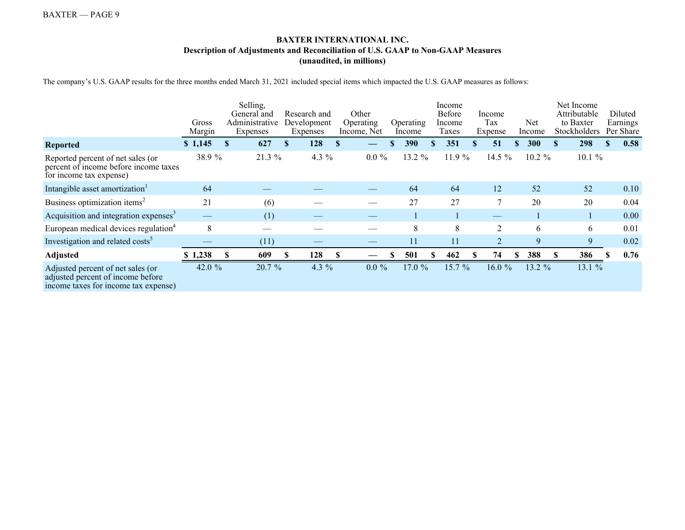## **BAXTER INTERNATIONAL INC. Description of Adjustments and Reconciliation of U.S. GAAP to Non-GAAP Measures (unaudited, in millions)**

The company's U.S. GAAP results for the three months ended March 31, 2021 included special items which impacted the U.S. GAAP measures as follows:

|                                                                                                                | Gross<br>Margin | Selling,<br>General and<br>Administrative<br>Expenses |              | Research and<br>Development<br>Expenses | Other<br>Operating<br>Income, Net | Operating<br>Income | Income<br>Before<br>Income<br>Taxes | Income<br>Tax<br>Expense |          | Net<br>Income | Net Income<br>Attributable<br>to Baxter<br>Stockholders | Diluted<br>Earnings<br>Per Share |
|----------------------------------------------------------------------------------------------------------------|-----------------|-------------------------------------------------------|--------------|-----------------------------------------|-----------------------------------|---------------------|-------------------------------------|--------------------------|----------|---------------|---------------------------------------------------------|----------------------------------|
| <b>Reported</b>                                                                                                | \$1,145         | \$<br>627                                             | $\mathbf{s}$ | 128                                     |                                   | 390                 | 351                                 | \$<br>51                 | <b>S</b> | 300           | \$<br>298                                               | 0.58                             |
| Reported percent of net sales (or<br>percent of income before income taxes<br>for income tax expense)          | 38.9 %          | 21.3 %                                                |              | 4.3 $%$                                 | $0.0 \%$                          | 13.2 %              | 11.9 %                              | 14.5 %                   |          | $10.2 \%$     | 10.1%                                                   |                                  |
| Intangible asset amortization <sup>1</sup>                                                                     | 64              |                                                       |              |                                         |                                   | 64                  | 64                                  | 12                       |          | 52            | 52                                                      | 0.10                             |
| Business optimization items <sup>2</sup>                                                                       | 21              | (6)                                                   |              |                                         |                                   | 27                  | 27                                  | 7                        |          | 20            | 20                                                      | 0.04                             |
| Acquisition and integration expenses <sup>3</sup>                                                              |                 | (1)                                                   |              |                                         |                                   |                     |                                     |                          |          |               |                                                         | 0.00                             |
| European medical devices regulation <sup>4</sup>                                                               | 8               |                                                       |              |                                         |                                   | 8                   | 8                                   | 2                        |          | 6             | 6                                                       | 0.01                             |
| Investigation and related costs <sup>5</sup>                                                                   |                 | (11)                                                  |              |                                         |                                   | 11                  | 11                                  |                          |          | 9             | 9                                                       | 0.02                             |
| <b>Adjusted</b>                                                                                                | 1,238           | 609                                                   |              | 128                                     |                                   | 501                 | 462                                 | 74                       | S        | 388           | 386                                                     | 0.76                             |
| Adjusted percent of net sales (or<br>adjusted percent of income before<br>income taxes for income tax expense) | 42.0 $%$        | 20.7 %                                                |              | 4.3 $%$                                 | $0.0 \%$                          | 17.0%               | 15.7%                               | 16.0%                    |          | 13.2 %        | 13.1 %                                                  |                                  |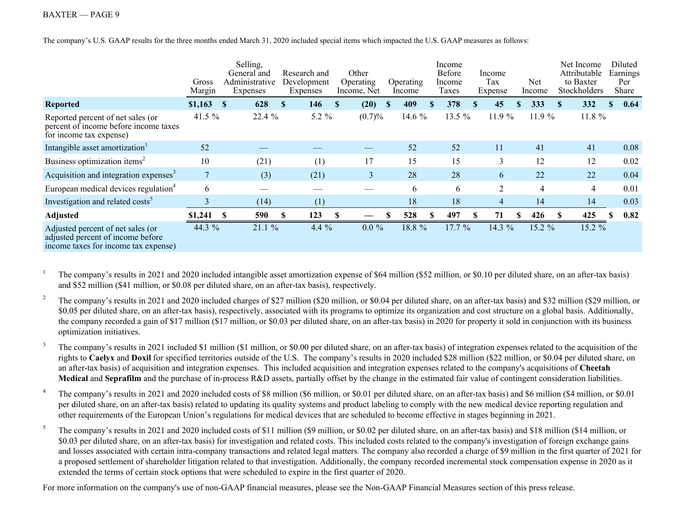The company's U.S. GAAP results for the three months ended March 31, 2020 included special items which impacted the U.S. GAAP measures as follows:

|                                                                                                                | Gross<br>Margin | Selling,<br>General and<br>Administrative<br>Expenses | Research and<br>Development<br>Expenses | Other<br>Operating<br>Income, Net | Operating<br>Income | Income<br>Before<br>Income<br>Taxes |   | Income<br>Tax<br>Expense | Net<br>Income  | Net Income<br>Attributable<br>to Baxter<br>Stockholders | Diluted<br>Earnings<br>Per<br>Share |
|----------------------------------------------------------------------------------------------------------------|-----------------|-------------------------------------------------------|-----------------------------------------|-----------------------------------|---------------------|-------------------------------------|---|--------------------------|----------------|---------------------------------------------------------|-------------------------------------|
| <b>Reported</b>                                                                                                | \$1,163         | 628<br>- \$                                           | 146<br><sup>\$</sup>                    | (20)<br>-S                        | 409<br><b>S</b>     | 378<br>\$                           | S | 45                       | 333<br>S       | 332<br><b>S</b>                                         | 0.64<br><sup>\$</sup>               |
| Reported percent of net sales (or<br>percent of income before income taxes<br>for income tax expense)          | 41.5 %          | 22.4 %                                                | 5.2 %                                   | (0.7)%                            | 14.6 %              | 13.5 %                              |   | 11.9 %                   | 11.9 %         | 11.8 %                                                  |                                     |
| Intangible asset amortization                                                                                  | 52              |                                                       |                                         |                                   | 52                  | 52                                  |   | 11                       | 41             | 41                                                      | 0.08                                |
| Business optimization items <sup>2</sup>                                                                       | 10              | (21)                                                  | (1)                                     | 17                                | 15                  | 15                                  |   | 3                        | 12             | 12                                                      | 0.02                                |
| Acquisition and integration expenses <sup>3</sup>                                                              | 7               | (3)                                                   | (21)                                    | 3                                 | 28                  | 28                                  |   | 6                        | 22             | 22                                                      | 0.04                                |
| European medical devices regulation <sup>4</sup>                                                               | 6               |                                                       |                                         |                                   | 6                   | 6                                   |   | $\overline{2}$           | $\overline{4}$ | $\overline{4}$                                          | 0.01                                |
| Investigation and related costs <sup>5</sup>                                                                   | $\overline{3}$  | (14)                                                  | (1)                                     |                                   | 18                  | 18                                  |   | $\overline{4}$           | 14             | 14                                                      | 0.03                                |
| <b>Adjusted</b>                                                                                                | \$1,241         | 590<br>-8                                             | 123                                     |                                   | 528                 | 497                                 |   | 71                       | \$<br>426      | 425<br>-S                                               | 0.82<br>S                           |
| Adjusted percent of net sales (or<br>adjusted percent of income before<br>income taxes for income tax expense) | 44.3 %          | 21.1 %                                                | 4.4 $%$                                 | $0.0 \%$                          | 18.8 %              | 17.7 %                              |   | 14.3 %                   | 15.2 %         | 15.2 %                                                  |                                     |

<sup>1</sup> The company's results in 2021 and 2020 included intangible asset amortization expense of \$64 million (\$52 million, or \$0.10 per diluted share, on an after-tax basis) and \$52 million (\$41 million, or \$0.08 per diluted share, on an after-tax basis), respectively.

<sup>2</sup> The company's results in 2021 and 2020 included charges of \$27 million (\$20 million, or \$0.04 per diluted share, on an after-tax basis) and \$32 million (\$29 million, or \$0.05 per diluted share, on an after-tax basis), respectively, associated with its programs to optimize its organization and cost structure on a global basis. Additionally, the company recorded a gain of \$17 million (\$17 million, or \$0.03 per diluted share, on an after-tax basis) in 2020 for property it sold in conjunction with its business optimization initiatives.

<sup>3</sup> The company's results in 2021 included \$1 million (\$1 million, or \$0.00 per diluted share, on an after-tax basis) of integration expenses related to the acquisition of the rights to **Caelyx** and **Doxil** for specified territories outside of the U.S. The company's results in 2020 included \$28 million (\$22 million, or \$0.04 per diluted share, on an after-tax basis) of acquisition and integration expenses. This included acquisition and integration expenses related to the company's acquisitions of **Cheetah Medical** and **Seprafilm** and the purchase of in-process R&D assets, partially offset by the change in the estimated fair value of contingent consideration liabilities.

<sup>4</sup> The company's results in 2021 and 2020 included costs of \$8 million (\$6 million, or \$0.01 per diluted share, on an after-tax basis) and \$6 million (\$4 million, or \$0.01) per diluted share, on an after-tax basis) related to updating its quality systems and product labeling to comply with the new medical device reporting regulation and other requirements of the European Union's regulations for medical devices that are scheduled to become effective in stages beginning in 2021.

<sup>5</sup> The company's results in 2021 and 2020 included costs of \$11 million (\$9 million, or \$0.02 per diluted share, on an after-tax basis) and \$18 million (\$14 million, or \$0.03 per diluted share, on an after-tax basis) for investigation and related costs. This included costs related to the company's investigation of foreign exchange gains and losses associated with certain intra-company transactions and related legal matters. The company also recorded a charge of \$9 million in the first quarter of 2021 for a proposed settlement of shareholder litigation related to that investigation. Additionally, the company recorded incremental stock compensation expense in 2020 as it extended the terms of certain stock options that were scheduled to expire in the first quarter of 2020.

For more information on the company's use of non-GAAP financial measures, please see the Non-GAAP Financial Measures section of this press release.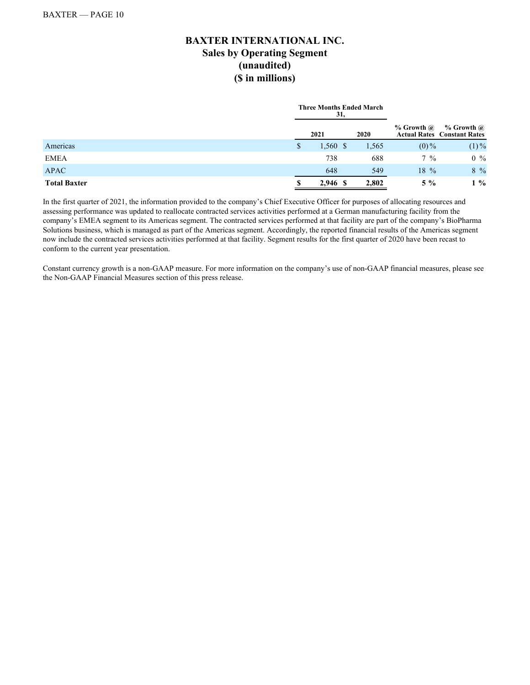# **BAXTER INTERNATIONAL INC. Sales by Operating Segment (unaudited) (\$ in millions)**

|                     |   | <b>Three Months Ended March</b><br>31, |       |                |                                                      |
|---------------------|---|----------------------------------------|-------|----------------|------------------------------------------------------|
|                     |   | 2021                                   | 2020  | $%$ Growth $@$ | $%$ Growth $@$<br><b>Actual Rates Constant Rates</b> |
| Americas            | S | $1,560$ \$                             | 1,565 | $(0)\%$        | $(1)\%$                                              |
| <b>EMEA</b>         |   | 738                                    | 688   | $7\%$          | $0\%$                                                |
| <b>APAC</b>         |   | 648                                    | 549   | $18\%$         | 8 %                                                  |
| <b>Total Baxter</b> |   | 2,946 \$                               | 2,802 | $5\%$          | $1\%$                                                |

In the first quarter of 2021, the information provided to the company's Chief Executive Officer for purposes of allocating resources and assessing performance was updated to reallocate contracted services activities performed at a German manufacturing facility from the company's EMEA segment to its Americas segment. The contracted services performed at that facility are part of the company's BioPharma Solutions business, which is managed as part of the Americas segment. Accordingly, the reported financial results of the Americas segment now include the contracted services activities performed at that facility. Segment results for the first quarter of 2020 have been recast to conform to the current year presentation.

Constant currency growth is a non-GAAP measure. For more information on the company's use of non-GAAP financial measures, please see the Non-GAAP Financial Measures section of this press release.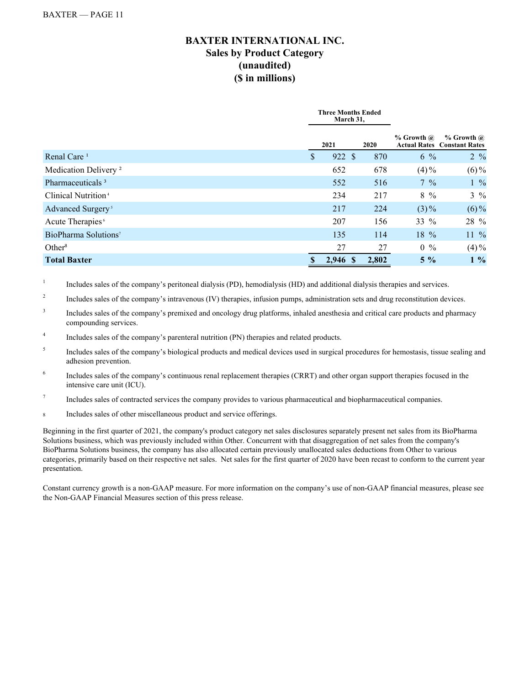# **BAXTER INTERNATIONAL INC. Sales by Product Category (unaudited) (\$ in millions)**

|                                  | <b>Three Months Ended</b> | March 31, |       |                |                                                      |
|----------------------------------|---------------------------|-----------|-------|----------------|------------------------------------------------------|
|                                  | 2021                      |           | 2020  | $%$ Growth $@$ | $%$ Growth $@$<br><b>Actual Rates Constant Rates</b> |
| Renal Care <sup>1</sup>          | \$                        | 922 \$    | 870   | $6\frac{9}{6}$ | $2 \frac{9}{6}$                                      |
| Medication Delivery <sup>2</sup> | 652                       |           | 678   | $(4) \%$       | $(6)\%$                                              |
| Pharmaceuticals <sup>3</sup>     | 552                       |           | 516   | $7\frac{9}{6}$ | $1\%$                                                |
| Clinical Nutrition <sup>4</sup>  | 234                       |           | 217   | $8\frac{9}{6}$ | $3\frac{9}{6}$                                       |
| Advanced Surgery <sup>5</sup>    | 217                       |           | 224   | $(3)\%$        | $(6)\%$                                              |
| Acute Therapies <sup>6</sup>     | 207                       |           | 156   | 33 $%$         | 28 %                                                 |
| BioPharma Solutions <sup>7</sup> | 135                       |           | 114   | 18 %           | $11\%$                                               |
| Other <sup>8</sup>               | 27                        |           | 27    | $0\%$          | $(4)\%$                                              |
| <b>Total Baxter</b>              | 2,946 \$<br>S             |           | 2.802 | $5\%$          | $1\%$                                                |

1 Includes sales of the company's peritoneal dialysis (PD), hemodialysis (HD) and additional dialysis therapies and services.

- 2 Includes sales of the company's intravenous (IV) therapies, infusion pumps, administration sets and drug reconstitution devices.
- 3 Includes sales of the company's premixed and oncology drug platforms, inhaled anesthesia and critical care products and pharmacy compounding services.
- 4 Includes sales of the company's parenteral nutrition (PN) therapies and related products.
- 5 Includes sales of the company's biological products and medical devices used in surgical procedures for hemostasis, tissue sealing and adhesion prevention.
- 6 Includes sales of the company's continuous renal replacement therapies (CRRT) and other organ support therapies focused in the intensive care unit (ICU).
- 7 Includes sales of contracted services the company provides to various pharmaceutical and biopharmaceutical companies.
- <sup>8</sup> Includes sales of other miscellaneous product and service offerings.

Beginning in the first quarter of 2021, the company's product category net sales disclosures separately present net sales from its BioPharma Solutions business, which was previously included within Other. Concurrent with that disaggregation of net sales from the company's BioPharma Solutions business, the company has also allocated certain previously unallocated sales deductions from Other to various categories, primarily based on their respective net sales. Net sales for the first quarter of 2020 have been recast to conform to the current year presentation.

Constant currency growth is a non-GAAP measure. For more information on the company's use of non-GAAP financial measures, please see the Non-GAAP Financial Measures section of this press release.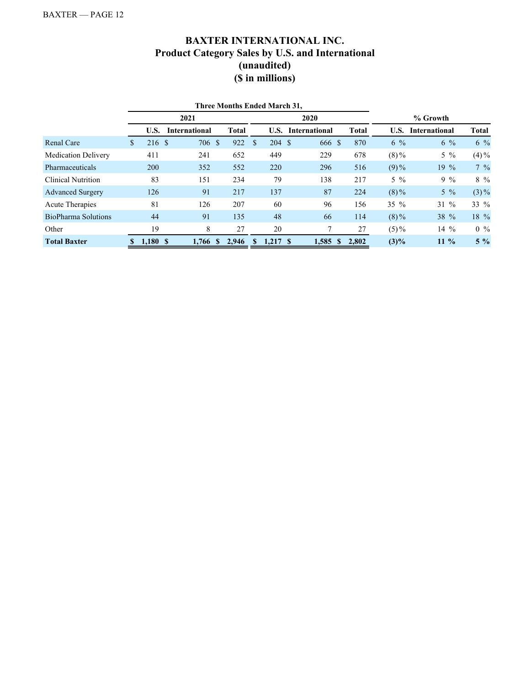# **BAXTER INTERNATIONAL INC. Product Category Sales by U.S. and International (unaudited) (\$ in millions)**

| <b>Three Months Ended March 31,</b> |      |            |                      |                      |              |    |        |                      |                       |         |                      |                 |  |  |
|-------------------------------------|------|------------|----------------------|----------------------|--------------|----|--------|----------------------|-----------------------|---------|----------------------|-----------------|--|--|
|                                     | 2021 |            |                      |                      |              |    |        | 2020                 |                       |         | % Growth             |                 |  |  |
|                                     |      | U.S.       | <b>International</b> |                      | <b>Total</b> |    | U.S.   | <b>International</b> | <b>Total</b>          | U.S.    | <b>International</b> | <b>Total</b>    |  |  |
| Renal Care                          | S.   | 216 \$     |                      | 706<br><sup>\$</sup> | 922          | \$ | 204 \$ | 666 \$               | 870                   | $6\%$   | $6\%$                | $6\%$           |  |  |
| <b>Medication Delivery</b>          |      | 411        |                      | 241                  | 652          |    | 449    | 229                  | 678                   | $(8)\%$ | $5\%$                | $(4) \%$        |  |  |
| Pharmaceuticals                     |      | <b>200</b> |                      | 352                  | 552          |    | 220    | 296                  | 516                   | $(9)\%$ | $19\%$               | $7\frac{9}{6}$  |  |  |
| <b>Clinical Nutrition</b>           |      | 83         |                      | 151                  | 234          |    | 79     | 138                  | 217                   | $5\%$   | $9\%$                | $8\frac{9}{6}$  |  |  |
| <b>Advanced Surgery</b>             |      | 126        |                      | 91                   | 217          |    | 137    | 87                   | 224                   | $(8)\%$ | $5\%$                | $(3)\%$         |  |  |
| <b>Acute Therapies</b>              |      | 81         |                      | 126                  | 207          |    | 60     | 96                   | 156                   | $35\%$  | $31\%$               | 33 %            |  |  |
| BioPharma Solutions                 |      | 44         |                      | 91                   | 135          |    | 48     | 66                   | 114                   | $(8)\%$ | 38 %                 | 18 %            |  |  |
| Other                               |      | 19         |                      | 8                    | 27           |    | 20     |                      | 27                    | $(5)\%$ | $14\%$               | $0 \frac{9}{6}$ |  |  |
| <b>Total Baxter</b>                 |      | 1,180S     |                      | $1.766$ \$           | 2.946        | S  | 1.217S | 1.585                | 2.802<br>$\mathbf{s}$ | $(3)\%$ | $11\%$               | $5\%$           |  |  |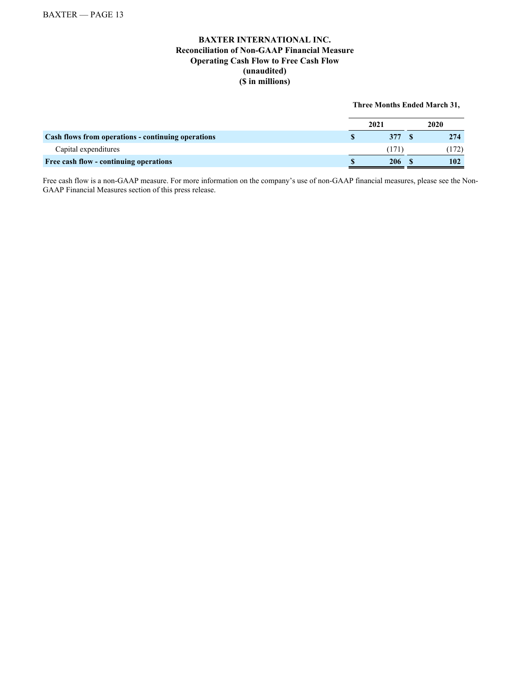## **BAXTER INTERNATIONAL INC. Reconciliation of Non-GAAP Financial Measure Operating Cash Flow to Free Cash Flow (unaudited) (\$ in millions)**

#### **Three Months Ended March 31,**

|                                                    | 2021 | 2020 |     |  |
|----------------------------------------------------|------|------|-----|--|
| Cash flows from operations - continuing operations | 377  |      | 274 |  |
| Capital expenditures                               |      |      |     |  |
| Free cash flow - continuing operations             | 206  |      | 102 |  |

Free cash flow is a non-GAAP measure. For more information on the company's use of non-GAAP financial measures, please see the Non-GAAP Financial Measures section of this press release.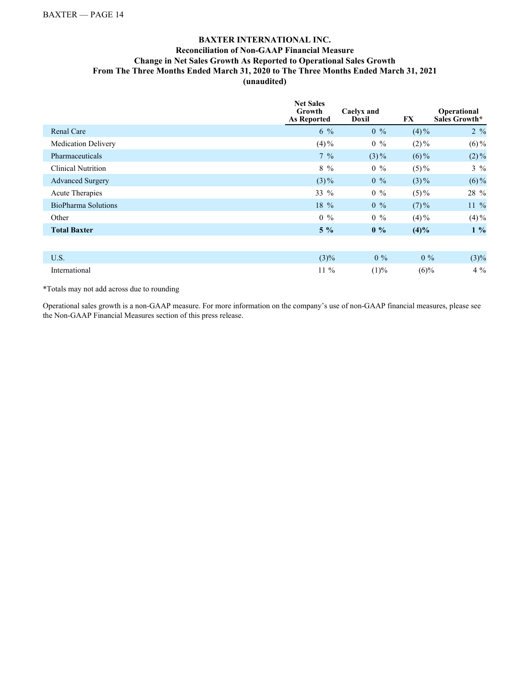## **BAXTER INTERNATIONAL INC. Reconciliation of Non-GAAP Financial Measure Change in Net Sales Growth As Reported to Operational Sales Growth From The Three Months Ended March 31, 2020 to The Three Months Ended March 31, 2021 (unaudited)**

|                            | <b>Net Sales</b><br>Growth<br><b>As Reported</b> | Caelyx and<br>Doxil | FX       | Operational<br>Sales Growth* |
|----------------------------|--------------------------------------------------|---------------------|----------|------------------------------|
| <b>Renal Care</b>          | $6\%$                                            | $0\%$               | $(4) \%$ | $2 \frac{9}{6}$              |
| <b>Medication Delivery</b> | $(4) \%$                                         | $0\%$               | $(2)\%$  | $(6)\%$                      |
| Pharmaceuticals            | $7\%$                                            | $(3)\%$             | $(6)\%$  | $(2)\%$                      |
| <b>Clinical Nutrition</b>  | $8\%$                                            | $0\%$               | $(5) \%$ | $3\%$                        |
| <b>Advanced Surgery</b>    | $(3)\%$                                          | $0\%$               | $(3)\%$  | $(6)\%$                      |
| <b>Acute Therapies</b>     | 33 %                                             | $0\%$               | $(5) \%$ | 28 %                         |
| <b>BioPharma Solutions</b> | 18 %                                             | $0\%$               | $(7) \%$ | $11\%$                       |
| Other                      | $0\%$                                            | $0\%$               | $(4) \%$ | $(4) \%$                     |
| <b>Total Baxter</b>        | $5\%$                                            | $0\%$               | (4)%     | $1\%$                        |
|                            |                                                  |                     |          |                              |
| U.S.                       | $(3)\%$                                          | $0\%$               | $0\%$    | $(3)\%$                      |
| International              | $11\%$                                           | (1)%                | $(6)\%$  | $4\%$                        |

\*Totals may not add across due to rounding

Operational sales growth is a non-GAAP measure. For more information on the company's use of non-GAAP financial measures, please see the Non-GAAP Financial Measures section of this press release.